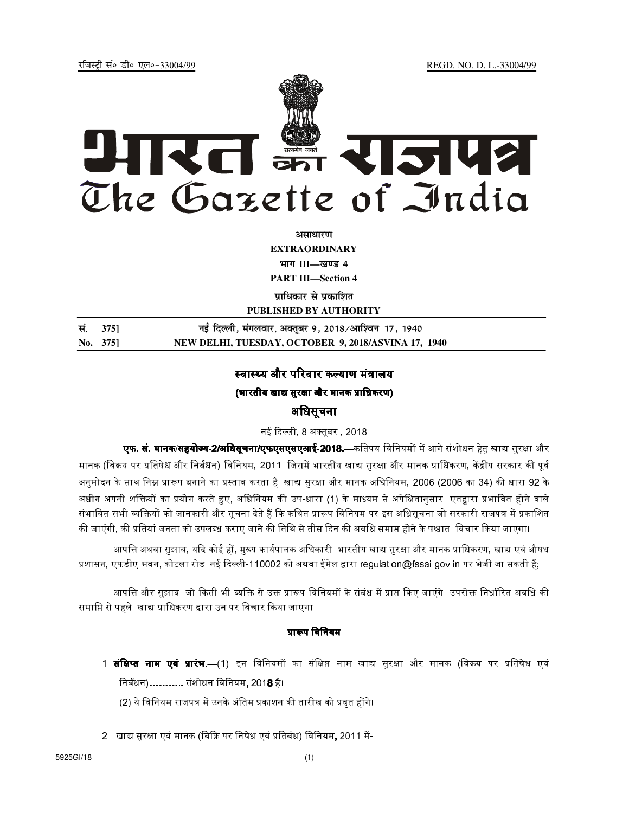REGD. NO. D. L.-33004/99

रजिस्टी सं० डी० एल०-33004/99



अमाधारण **EXTRAORDINARY** भाग III-खण्ड 4

**PART III-Section 4** 

पाधिकार से पकाशित

PUBLISHED BY AUTHORITY

| सं. 375] | नई दिल्ली, मंगलवार, अक्तूबर 9, 2018 ⁄ आश्विन  17, 1940 |
|----------|--------------------------------------------------------|
| No. 375  | NEW DELHI, TUESDAY, OCTOBER 9, 2018/ASVINA 17, 1940    |

## स्वास्थ्य और परिवार कल्याण मंत्रालय

(भारतीय खाद्य सुरक्षा और मानक प्राधिकरण)

# अधिसूचना

नई दिल्ली, 8 अक्तूबर , 2018

**एफ. सं. मानक/सहयोज्य-2/बधिसूचना/एफएसएसएआई-2018.—**कतिपय विनियमों में आगे संशोधन हेतु खाद्य सुरक्षा और मानक (विक्रय पर प्रतिषेध और निर्बंधन) विनियम, 2011, जिसमें भारतीय खाद्य सुरक्षा और मानक प्राधिकरण, केंद्रीय सरकार की पुर्व अनुमोदन के साथ निम्न प्रारूप बनाने का प्रस्ताव करता है, खाद्य सुरक्षा और मानक अधिनियम, 2006 (2006 का 34) की धारा 92 के अधीन अपनी शक्तियों का प्रयोग करते हुए. अधिनियम की उप-धारा (1) के माध्यम से अपेक्षितानसार. एतद्वारा प्रभावित होने वाले संभावित सभी व्यक्तियों को जानकारी और सूचना देते हैं कि कथित प्रारूप विनियम पर इस अधिसूचना जो सरकारी राजपत्र में प्रकाशित की जाएंगी, की प्रतियां जनता को उपलब्ध कराए जाने की तिथि से तीस दिन की अवधि समाप्त होने के पश्चात, विचार किया जाएगा।

आपत्ति अथवा सुझाव, यदि कोई हों, मुख्य कार्यपालक अधिकारी, भारतीय खाद्य सुरक्षा और मानक प्राधिकरण, खाद्य एवं औषध प्रशासन, एफडीए भवन, कोटला रोड, नई दिल्ली-110002 को अथवा ईमेल द्वारा regulation@fssai.gov.in पर भेजी जा सकती हैं;

आपत्ति और सुझाव, जो किसी भी व्यक्ति से उक्त प्रारूप विनियमों के संबंध में प्राप्त किए जाएंगे, उपरोक्त निर्धारित अवधि की समाप्ति से पहले, खाद्य प्राधिकरण द्वारा उन पर विचार किया जाएगा।

### प्रारूप विनियम

- 1. **संक्षिप्त नाम एवं प्रारंभ.—**(1) इन विनियमों का संक्षिप्त नाम खाद्य सुरक्षा और मानक (विक्रय पर प्रतिषेध एवं निर्बंधन)........... संशोधन विनियम, 201**8** है।
	- (2) ये विनियम राजपत्र में उनके अंतिम प्रकाशन की तारीख को प्रवृत होंगे।
- 2. खाद्य सुरक्षा एवं मानक (बिक्रि पर निषेध एवं प्रतिबंध) विनियम, 2011 में-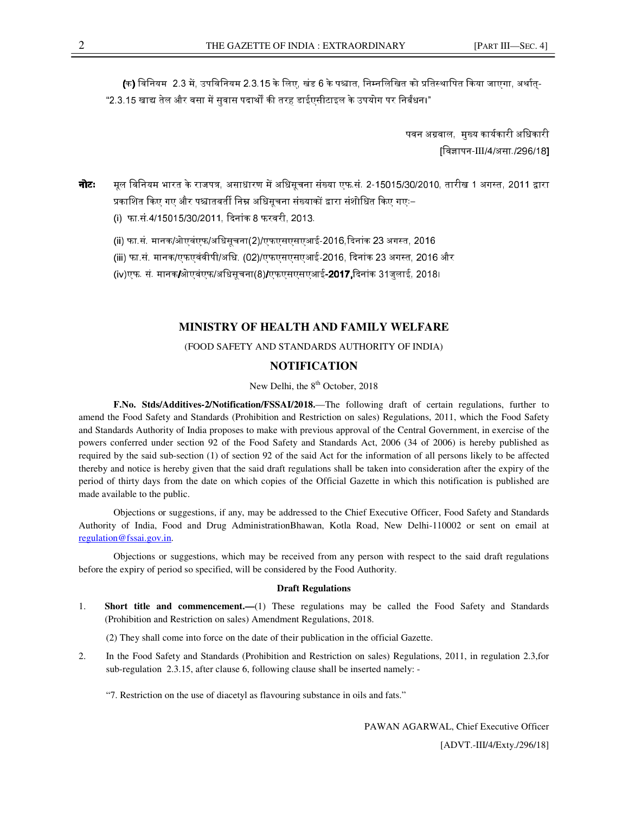(क) विनियम 2.3 में, उपविनियम 2.3.15 के लिए, खंड 6 के पश्चात, निम्नलिखित को प्रतिस्थापित किया जाएगा, अर्थात-"2.3.15 खाद्य तेल और वसा में सवास पदार्थों की तरह डाईएसीटाइल के उपयोग पर निर्बंधन।"

> पवन अग्रवाल, मख्य कार्यकारी अधिकारी [विज्ञापन-III/4/असा./296/18]

**नोटः** मल विनियम भारत के राजपत्र, असाधारण में अधिसचना संख्या एफ.सं. 2-15015/30/2010, तारीख 1 अगस्त, 2011 द्वारा प्रकाशित किए गए और पश्चातवर्ती निम्न अधिसचना संख्याकों द्वारा संशोधित किए गएः–

(i) फा.सं.4/15015/30/2011, दिनांक 8 फरवरी, 2013,

(ii) फा.सं. मानक/ओएवंएफ/अधिसूचना(2)/एफएसएसएआई-2016 दिनांक 23 अगस्त. 2016

(iii) फा.सं. मानक/एफएवंवीपी/अधि. (02)/एफएसएसएआई-2016, दिनांक 23 अगस्त. 2016 और

(iv)एफ, सं. मानक/ओएवंएफ/अधिसचना(8)/एफएसएसएआई**-2017,** दिनांक 31जलाई, 2018।

#### **MINISTRY OF HEALTH AND FAMILY WELFARE**

(FOOD SAFETY AND STANDARDS AUTHORITY OF INDIA)

### **NOTIFICATION**

New Delhi, the  $8<sup>th</sup>$  October, 2018

**F.No. Stds/Additives-2/Notification/FSSAI/2018.**—The following draft of certain regulations, further to amend the Food Safety and Standards (Prohibition and Restriction on sales) Regulations, 2011, which the Food Safety and Standards Authority of India proposes to make with previous approval of the Central Government, in exercise of the powers conferred under section 92 of the Food Safety and Standards Act, 2006 (34 of 2006) is hereby published as required by the said sub-section (1) of section 92 of the said Act for the information of all persons likely to be affected thereby and notice is hereby given that the said draft regulations shall be taken into consideration after the expiry of the period of thirty days from the date on which copies of the Official Gazette in which this notification is published are made available to the public.

Objections or suggestions, if any, may be addressed to the Chief Executive Officer, Food Safety and Standards Authority of India, Food and Drug AdministrationBhawan, Kotla Road, New Delhi-110002 or sent on email at regulation@fssai.gov.in.

Objections or suggestions, which may be received from any person with respect to the said draft regulations before the expiry of period so specified, will be considered by the Food Authority.

#### **Draft Regulations**

1. **Short title and commencement.—**(1) These regulations may be called the Food Safety and Standards (Prohibition and Restriction on sales) Amendment Regulations, 2018.

(2) They shall come into force on the date of their publication in the official Gazette.

2. In the Food Safety and Standards (Prohibition and Restriction on sales) Regulations, 2011, in regulation 2.3,for sub-regulation 2.3.15, after clause 6, following clause shall be inserted namely: -

"7. Restriction on the use of diacetyl as flavouring substance in oils and fats."

PAWAN AGARWAL, Chief Executive Officer [ADVT.-III/4/Exty./296/18]